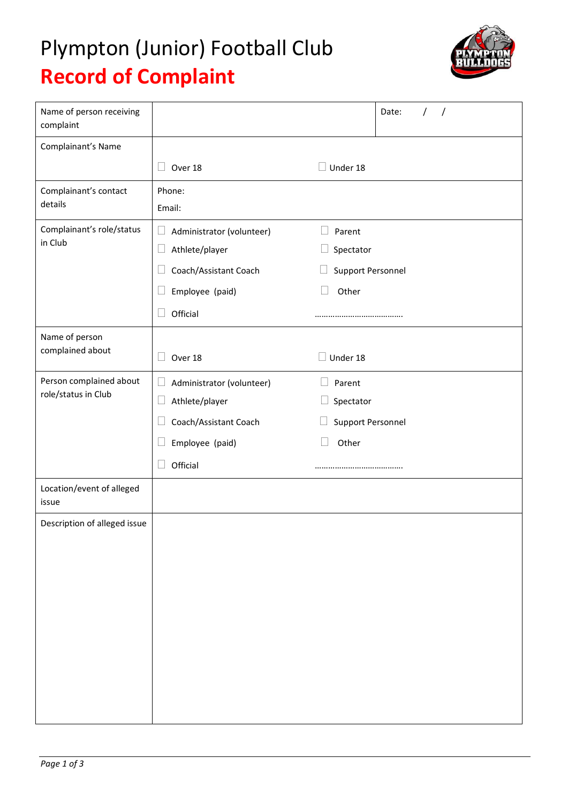## Plympton (Junior) Football Club **Record of Complaint**



| Name of person receiving<br>complaint          |                                     | Date:<br>$\prime$        |
|------------------------------------------------|-------------------------------------|--------------------------|
| Complainant's Name                             |                                     |                          |
|                                                | Over 18                             | Under 18                 |
| Complainant's contact<br>details               | Phone:                              |                          |
|                                                | Email:                              |                          |
| Complainant's role/status<br>in Club           | Administrator (volunteer)<br>$\Box$ | Parent<br>$\Box$         |
|                                                | Athlete/player<br>⊔                 | Spectator<br>$\Box$      |
|                                                | Coach/Assistant Coach               | Support Personnel        |
|                                                | Employee (paid)                     | Other<br>Ш               |
|                                                | Official                            |                          |
| Name of person                                 |                                     |                          |
| complained about                               | Over 18                             | Under 18                 |
| Person complained about<br>role/status in Club | Administrator (volunteer)<br>$\Box$ | Parent                   |
|                                                | Athlete/player<br>$\Box$            | $\Box$<br>Spectator      |
|                                                | Coach/Assistant Coach               | <b>Support Personnel</b> |
|                                                | Employee (paid)                     | Other<br>Ш               |
|                                                | Official                            |                          |
| Location/event of alleged<br>issue             |                                     |                          |
| Description of alleged issue                   |                                     |                          |
|                                                |                                     |                          |
|                                                |                                     |                          |
|                                                |                                     |                          |
|                                                |                                     |                          |
|                                                |                                     |                          |
|                                                |                                     |                          |
|                                                |                                     |                          |
|                                                |                                     |                          |
|                                                |                                     |                          |
|                                                |                                     |                          |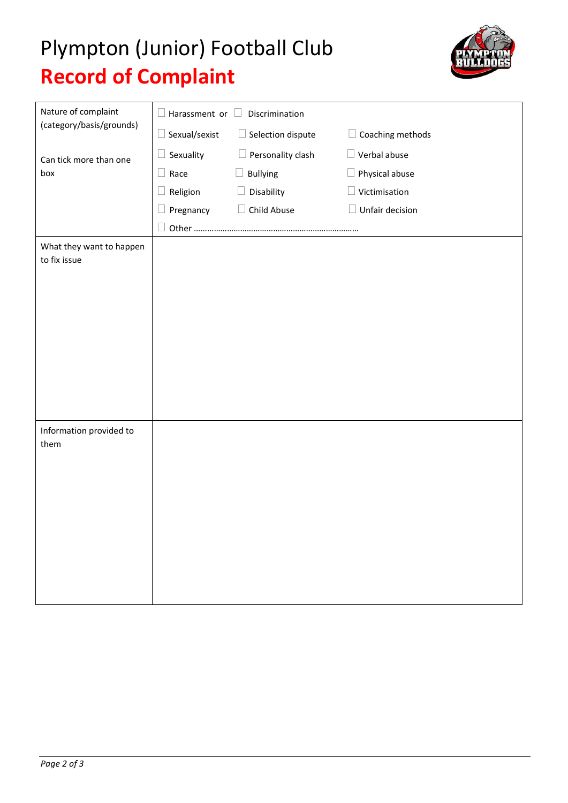## Plympton (Junior) Football Club **Record of Complaint**



| Nature of complaint<br>(category/basis/grounds) | $\square$ Harassment or $\square$<br>Discrimination |                             |                        |  |
|-------------------------------------------------|-----------------------------------------------------|-----------------------------|------------------------|--|
|                                                 | $\Box$ Sexual/sexist                                | $\Box$ Selection dispute    | Coaching methods<br>┚  |  |
| Can tick more than one<br>box                   | Sexuality                                           | Personality clash<br>$\Box$ | $\Box$ Verbal abuse    |  |
|                                                 | $\Box$ Race                                         | <b>Bullying</b>             | $\Box$ Physical abuse  |  |
|                                                 | Religion                                            | Disability<br>$\Box$        | $\Box$ Victimisation   |  |
|                                                 | Pregnancy                                           | Child Abuse<br>$\Box$       | $\Box$ Unfair decision |  |
|                                                 |                                                     |                             |                        |  |
| What they want to happen<br>to fix issue        |                                                     |                             |                        |  |
|                                                 |                                                     |                             |                        |  |
|                                                 |                                                     |                             |                        |  |
|                                                 |                                                     |                             |                        |  |
|                                                 |                                                     |                             |                        |  |
|                                                 |                                                     |                             |                        |  |
|                                                 |                                                     |                             |                        |  |
|                                                 |                                                     |                             |                        |  |
|                                                 |                                                     |                             |                        |  |
| Information provided to<br>them                 |                                                     |                             |                        |  |
|                                                 |                                                     |                             |                        |  |
|                                                 |                                                     |                             |                        |  |
|                                                 |                                                     |                             |                        |  |
|                                                 |                                                     |                             |                        |  |
|                                                 |                                                     |                             |                        |  |
|                                                 |                                                     |                             |                        |  |
|                                                 |                                                     |                             |                        |  |
|                                                 |                                                     |                             |                        |  |
|                                                 |                                                     |                             |                        |  |